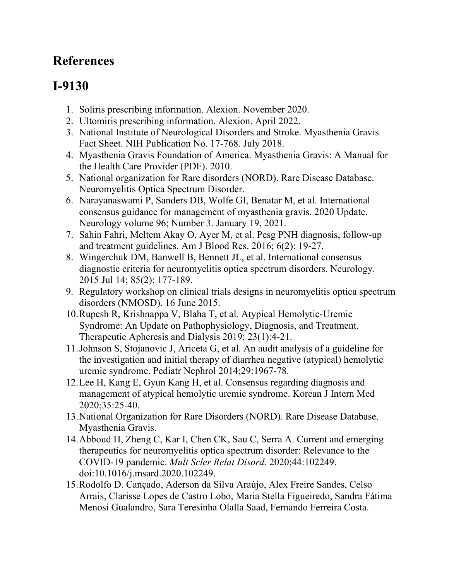## **References**

## **I-9130**

- 1. Soliris prescribing information. Alexion. November 2020.
- 2. Ultomiris prescribing information. Alexion. April 2022.
- 3. National Institute of Neurological Disorders and Stroke. Myasthenia Gravis Fact Sheet. NIH Publication No. 17-768. July 2018.
- 4. Myasthenia Gravis Foundation of America. Myasthenia Gravis: A Manual for the Health Care Provider (PDF). 2010.
- 5. National organization for Rare disorders (NORD). Rare Disease Database. Neuromyelitis Optica Spectrum Disorder.
- 6. Narayanaswami P, Sanders DB, Wolfe GI, Benatar M, et al. International consensus guidance for management of myasthenia gravis. 2020 Update. Neurology volume 96; Number 3. January 19, 2021.
- 7. Sahin Fahri, Meltem Akay O, Ayer M, et al. Pesg PNH diagnosis, follow-up and treatment guidelines. Am J Blood Res. 2016; 6(2): 19-27.
- 8. Wingerchuk DM, Banwell B, Bennett JL, et al. International consensus diagnostic criteria for neuromyelitis optica spectrum disorders. Neurology. 2015 Jul 14; 85(2): 177-189.
- 9. Regulatory workshop on clinical trials designs in neuromyelitis optica spectrum disorders (NMOSD). 16 June 2015.
- 10.Rupesh R, Krishnappa V, Blaha T, et al. Atypical Hemolytic-Uremic Syndrome: An Update on Pathophysiology, Diagnosis, and Treatment. Therapeutic Apheresis and Dialysis 2019; 23(1):4-21.
- 11.Johnson S, Stojanovic J, Ariceta G, et al. An audit analysis of a guideline for the investigation and initial therapy of diarrhea negative (atypical) hemolytic uremic syndrome. Pediatr Nephrol 2014;29:1967-78.
- 12.Lee H, Kang E, Gyun Kang H, et al. Consensus regarding diagnosis and management of atypical hemolytic uremic syndrome. Korean J Intern Med 2020;35:25-40.
- 13.National Organization for Rare Disorders (NORD). Rare Disease Database. Myasthenia Gravis.
- 14.Abboud H, Zheng C, Kar I, Chen CK, Sau C, Serra A. Current and emerging therapeutics for neuromyelitis optica spectrum disorder: Relevance to the COVID-19 pandemic. *Mult Scler Relat Disord*. 2020;44:102249. doi:10.1016/j.msard.2020.102249.
- 15.Rodolfo D. Cançado, Aderson da Silva Araújo, Alex Freire Sandes, Celso Arrais, Clarisse Lopes de Castro Lobo, Maria Stella Figueiredo, Sandra Fátima Menosi Gualandro, Sara Teresinha Olalla Saad, Fernando Ferreira Costa.